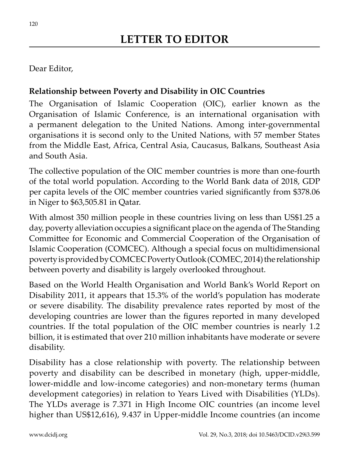## Dear Editor,

## **Relationship between Poverty and Disability in OIC Countries**

The Organisation of Islamic Cooperation (OIC), earlier known as the Organisation of Islamic Conference, is an international organisation with a permanent delegation to the United Nations. Among inter-governmental organisations it is second only to the United Nations, with 57 member States from the Middle East, Africa, Central Asia, Caucasus, Balkans, Southeast Asia and South Asia.

The collective population of the OIC member countries is more than one-fourth of the total world population. According to the World Bank data of 2018, GDP per capita levels of the OIC member countries varied significantly from \$378.06 in Niger to \$63,505.81 in Qatar.

With almost 350 million people in these countries living on less than US\$1.25 a day, poverty alleviation occupies a significant place on the agenda of The Standing Committee for Economic and Commercial Cooperation of the Organisation of Islamic Cooperation (COMCEC). Although a special focus on multidimensional poverty is provided by COMCEC Poverty Outlook (COMEC, 2014) the relationship between poverty and disability is largely overlooked throughout.

Based on the World Health Organisation and World Bank's World Report on Disability 2011, it appears that 15.3% of the world's population has moderate or severe disability. The disability prevalence rates reported by most of the developing countries are lower than the figures reported in many developed countries. If the total population of the OIC member countries is nearly 1.2 billion, it is estimated that over 210 million inhabitants have moderate or severe disability.

Disability has a close relationship with poverty. The relationship between poverty and disability can be described in monetary (high, upper-middle, lower-middle and low-income categories) and non-monetary terms (human development categories) in relation to Years Lived with Disabilities (YLDs). The YLDs average is 7.371 in High Income OIC countries (an income level higher than US\$12,616), 9.437 in Upper-middle Income countries (an income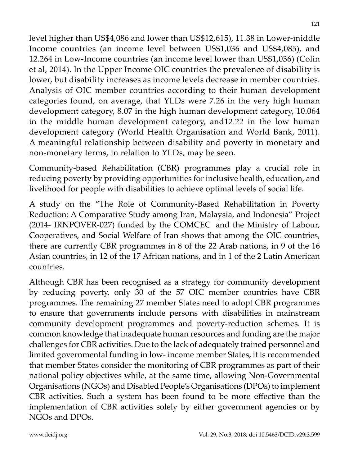level higher than US\$4,086 and lower than US\$12,615), 11.38 in Lower-middle Income countries (an income level between US\$1,036 and US\$4,085), and 12.264 in Low-Income countries (an income level lower than US\$1,036) (Colin et al, 2014). In the Upper Income OIC countries the prevalence of disability is lower, but disability increases as income levels decrease in member countries. Analysis of OIC member countries according to their human development categories found, on average, that YLDs were 7.26 in the very high human development category, 8.07 in the high human development category, 10.064 in the middle human development category, and12.22 in the low human development category (World Health Organisation and World Bank, 2011). A meaningful relationship between disability and poverty in monetary and non-monetary terms, in relation to YLDs, may be seen.

Community-based Rehabilitation (CBR) programmes play a crucial role in reducing poverty by providing opportunities for inclusive health, education, and livelihood for people with disabilities to achieve optimal levels of social life.

A study on the "The Role of Community-Based Rehabilitation in Poverty Reduction: A Comparative Study among Iran, Malaysia, and Indonesia" Project (2014- IRNPOVER-027) funded by the COMCEC and the Ministry of Labour, Cooperatives, and Social Welfare of Iran shows that among the OIC countries, there are currently CBR programmes in 8 of the 22 Arab nations, in 9 of the 16 Asian countries, in 12 of the 17 African nations, and in 1 of the 2 Latin American countries.

Although CBR has been recognised as a strategy for community development by reducing poverty, only 30 of the 57 OIC member countries have CBR programmes. The remaining 27 member States need to adopt CBR programmes to ensure that governments include persons with disabilities in mainstream community development programmes and poverty-reduction schemes. It is common knowledge that inadequate human resources and funding are the major challenges for CBR activities. Due to the lack of adequately trained personnel and limited governmental funding in low- income member States, it is recommended that member States consider the monitoring of CBR programmes as part of their national policy objectives while, at the same time, allowing Non-Governmental Organisations (NGOs) and Disabled People's Organisations (DPOs) to implement CBR activities. Such a system has been found to be more effective than the implementation of CBR activities solely by either government agencies or by NGOs and DPOs.